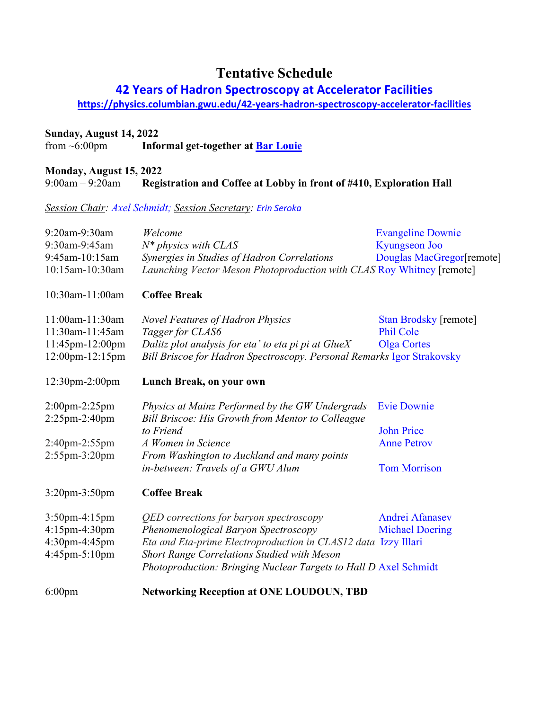# **Tentative Schedule**

## **42 Years of Hadron Spectroscopy at Accelerator Facilities**

**<https://physics.columbian.gwu.edu/42-years-hadron-spectroscopy-accelerator-facilities>**

# **Sunday, August 14, 2022**<br>**from ~6:00pm Info**

Informal get-together at **Bar Louie** 

#### **Monday, August 15, 2022** 9:00am – 9:20am **Registration and Coffee at Lobby in front of #410, Exploration Hall**

*Session Chair: Axel Schmidt; Session Secretary: Erin Seroka*

| 9:20am-9:30am          | Welcome                                                                | <b>Evangeline Downie</b>  |  |
|------------------------|------------------------------------------------------------------------|---------------------------|--|
| 9:30am-9:45am          | $N^*$ physics with CLAS                                                | <b>Kyungseon Joo</b>      |  |
| 9:45am-10:15am         | Synergies in Studies of Hadron Correlations                            | Douglas MacGregor[remote] |  |
| 10:15am-10:30am        | Launching Vector Meson Photoproduction with CLAS Roy Whitney [remote]  |                           |  |
| 10:30am-11:00am        | <b>Coffee Break</b>                                                    |                           |  |
| 11:00am-11:30am        | <b>Novel Features of Hadron Physics</b>                                | Stan Brodsky [remote]     |  |
| 11:30am-11:45am        | Tagger for CLAS6                                                       | <b>Phil Cole</b>          |  |
| 11:45pm-12:00pm        | Dalitz plot analysis for eta' to eta pi pi at GlueX                    | <b>Olga Cortes</b>        |  |
| $12:00$ pm- $12:15$ pm | Bill Briscoe for Hadron Spectroscopy. Personal Remarks Igor Strakovsky |                           |  |
| 12:30pm-2:00pm         | Lunch Break, on your own                                               |                           |  |
| $2:00$ pm-2:25pm       | Physics at Mainz Performed by the GW Undergrads                        | <b>Evie Downie</b>        |  |
| $2:25$ pm- $2:40$ pm   | Bill Briscoe: His Growth from Mentor to Colleague                      |                           |  |
|                        | to Friend                                                              | <b>John Price</b>         |  |
| 2:40pm-2:55pm          | A Women in Science                                                     | <b>Anne Petrov</b>        |  |
| $2:55$ pm- $3:20$ pm   | From Washington to Auckland and many points                            |                           |  |
|                        | in-between: Travels of a GWU Alum                                      | <b>Tom Morrison</b>       |  |
| $3:20$ pm $-3:50$ pm   | <b>Coffee Break</b>                                                    |                           |  |
| $3:50$ pm-4:15pm       | QED corrections for baryon spectroscopy                                | Andrei Afanasev           |  |
| 4:15pm-4:30pm          | Phenomenological Baryon Spectroscopy                                   | <b>Michael Doering</b>    |  |
| 4:30pm-4:45pm          | Eta and Eta-prime Electroproduction in CLAS12 data Izzy Illari         |                           |  |
| 4:45pm-5:10pm          | <b>Short Range Correlations Studied with Meson</b>                     |                           |  |
|                        | Photoproduction: Bringing Nuclear Targets to Hall D Axel Schmidt       |                           |  |
| $6:00$ pm              | <b>Networking Reception at ONE LOUDOUN, TBD</b>                        |                           |  |
|                        |                                                                        |                           |  |